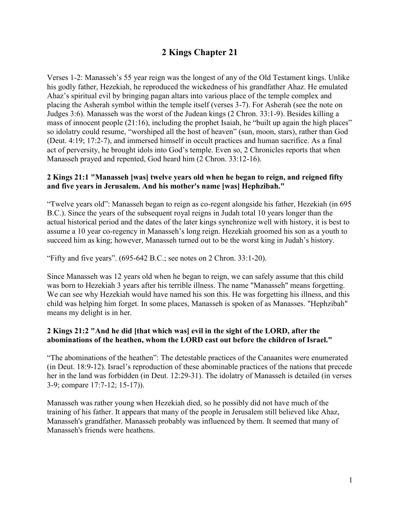# **2 Kings Chapter 21**

Verses 1-2: Manasseh's 55 year reign was the longest of any of the Old Testament kings. Unlike his godly father, Hezekiah, he reproduced the wickedness of his grandfather Ahaz. He emulated Ahaz's spiritual evil by bringing pagan altars into various place of the temple complex and placing the Asherah symbol within the temple itself (verses 3-7). For Asherah (see the note on Judges 3:6). Manasseh was the worst of the Judean kings (2 Chron. 33:1-9). Besides killing a mass of innocent people (21:16), including the prophet Isaiah, he "built up again the high places" so idolatry could resume, "worshiped all the host of heaven" (sun, moon, stars), rather than God (Deut. 4:19; 17:2-7), and immersed himself in occult practices and human sacrifice. As a final act of perversity, he brought idols into God's temple. Even so, 2 Chronicles reports that when Manasseh prayed and repented, God heard him (2 Chron. 33:12-16).

### **2 Kings 21:1 "Manasseh [was] twelve years old when he began to reign, and reigned fifty and five years in Jerusalem. And his mother's name [was] Hephzibah."**

"Twelve years old": Manasseh began to reign as co-regent alongside his father, Hezekiah (in 695 B.C.). Since the years of the subsequent royal reigns in Judah total 10 years longer than the actual historical period and the dates of the later kings synchronize well with history, it is best to assume a 10 year co-regency in Manasseh's long reign. Hezekiah groomed his son as a youth to succeed him as king; however, Manasseh turned out to be the worst king in Judah's history.

"Fifty and five years". (695-642 B.C.; see notes on 2 Chron. 33:1-20).

Since Manasseh was 12 years old when he began to reign, we can safely assume that this child was born to Hezekiah 3 years after his terrible illness. The name "Manasseh" means forgetting. We can see why Hezekiah would have named his son this. He was forgetting his illness, and this child was helping him forget. In some places, Manasseh is spoken of as Manasses. "Hephzibah" means my delight is in her.

#### **2 Kings 21:2 "And he did [that which was] evil in the sight of the LORD, after the abominations of the heathen, whom the LORD cast out before the children of Israel."**

"The abominations of the heathen": The detestable practices of the Canaanites were enumerated (in Deut. 18:9-12). Israel's reproduction of these abominable practices of the nations that precede her in the land was forbidden (in Deut. 12:29-31). The idolatry of Manasseh is detailed (in verses 3-9; compare 17:7-12; 15-17)).

Manasseh was rather young when Hezekiah died, so he possibly did not have much of the training of his father. It appears that many of the people in Jerusalem still believed like Ahaz, Manasseh's grandfather. Manasseh probably was influenced by them. It seemed that many of Manasseh's friends were heathens.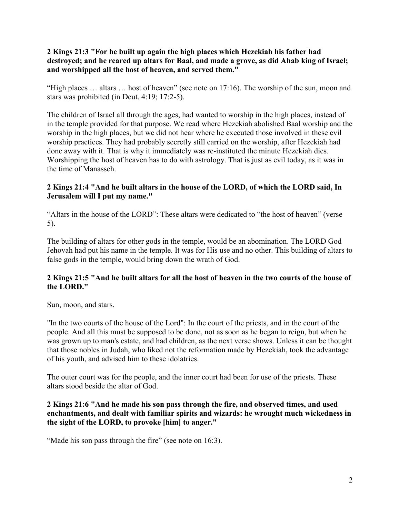#### **2 Kings 21:3 "For he built up again the high places which Hezekiah his father had destroyed; and he reared up altars for Baal, and made a grove, as did Ahab king of Israel; and worshipped all the host of heaven, and served them."**

"High places … altars … host of heaven" (see note on 17:16). The worship of the sun, moon and stars was prohibited (in Deut. 4:19; 17:2-5).

The children of Israel all through the ages, had wanted to worship in the high places, instead of in the temple provided for that purpose. We read where Hezekiah abolished Baal worship and the worship in the high places, but we did not hear where he executed those involved in these evil worship practices. They had probably secretly still carried on the worship, after Hezekiah had done away with it. That is why it immediately was re-instituted the minute Hezekiah dies. Worshipping the host of heaven has to do with astrology. That is just as evil today, as it was in the time of Manasseh.

#### **2 Kings 21:4 "And he built altars in the house of the LORD, of which the LORD said, In Jerusalem will I put my name."**

"Altars in the house of the LORD": These altars were dedicated to "the host of heaven" (verse 5).

The building of altars for other gods in the temple, would be an abomination. The LORD God Jehovah had put his name in the temple. It was for His use and no other. This building of altars to false gods in the temple, would bring down the wrath of God.

### **2 Kings 21:5 "And he built altars for all the host of heaven in the two courts of the house of the LORD."**

Sun, moon, and stars.

"In the two courts of the house of the Lord": In the court of the priests, and in the court of the people. And all this must be supposed to be done, not as soon as he began to reign, but when he was grown up to man's estate, and had children, as the next verse shows. Unless it can be thought that those nobles in Judah, who liked not the reformation made by Hezekiah, took the advantage of his youth, and advised him to these idolatries.

The outer court was for the people, and the inner court had been for use of the priests. These altars stood beside the altar of God.

### **2 Kings 21:6 "And he made his son pass through the fire, and observed times, and used enchantments, and dealt with familiar spirits and wizards: he wrought much wickedness in the sight of the LORD, to provoke [him] to anger."**

"Made his son pass through the fire" (see note on 16:3).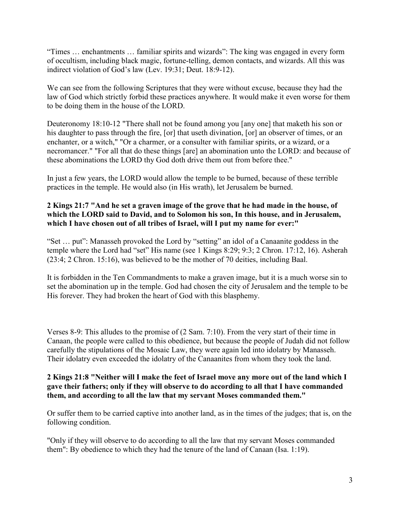"Times … enchantments … familiar spirits and wizards": The king was engaged in every form of occultism, including black magic, fortune-telling, demon contacts, and wizards. All this was indirect violation of God's law (Lev. 19:31; Deut. 18:9-12).

We can see from the following Scriptures that they were without excuse, because they had the law of God which strictly forbid these practices anywhere. It would make it even worse for them to be doing them in the house of the LORD.

Deuteronomy 18:10-12 "There shall not be found among you [any one] that maketh his son or his daughter to pass through the fire, [or] that useth divination, [or] an observer of times, or an enchanter, or a witch," "Or a charmer, or a consulter with familiar spirits, or a wizard, or a necromancer." "For all that do these things [are] an abomination unto the LORD: and because of these abominations the LORD thy God doth drive them out from before thee."

In just a few years, the LORD would allow the temple to be burned, because of these terrible practices in the temple. He would also (in His wrath), let Jerusalem be burned.

## **2 Kings 21:7 "And he set a graven image of the grove that he had made in the house, of which the LORD said to David, and to Solomon his son, In this house, and in Jerusalem, which I have chosen out of all tribes of Israel, will I put my name for ever:"**

"Set … put": Manasseh provoked the Lord by "setting" an idol of a Canaanite goddess in the temple where the Lord had "set" His name (see 1 Kings 8:29; 9:3; 2 Chron. 17:12, 16). Asherah (23:4; 2 Chron. 15:16), was believed to be the mother of 70 deities, including Baal.

It is forbidden in the Ten Commandments to make a graven image, but it is a much worse sin to set the abomination up in the temple. God had chosen the city of Jerusalem and the temple to be His forever. They had broken the heart of God with this blasphemy.

Verses 8-9: This alludes to the promise of (2 Sam. 7:10). From the very start of their time in Canaan, the people were called to this obedience, but because the people of Judah did not follow carefully the stipulations of the Mosaic Law, they were again led into idolatry by Manasseh. Their idolatry even exceeded the idolatry of the Canaanites from whom they took the land.

#### **2 Kings 21:8 "Neither will I make the feet of Israel move any more out of the land which I gave their fathers; only if they will observe to do according to all that I have commanded them, and according to all the law that my servant Moses commanded them."**

Or suffer them to be carried captive into another land, as in the times of the judges; that is, on the following condition.

"Only if they will observe to do according to all the law that my servant Moses commanded them": By obedience to which they had the tenure of the land of Canaan (Isa. 1:19).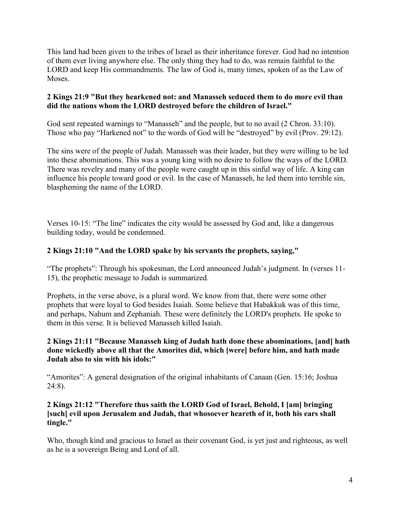This land had been given to the tribes of Israel as their inheritance forever. God had no intention of them ever living anywhere else. The only thing they had to do, was remain faithful to the LORD and keep His commandments. The law of God is, many times, spoken of as the Law of Moses.

## **2 Kings 21:9 "But they hearkened not: and Manasseh seduced them to do more evil than did the nations whom the LORD destroyed before the children of Israel."**

God sent repeated warnings to "Manasseh" and the people, but to no avail (2 Chron. 33:10). Those who pay "Harkened not" to the words of God will be "destroyed" by evil (Prov. 29:12).

The sins were of the people of Judah. Manasseh was their leader, but they were willing to be led into these abominations. This was a young king with no desire to follow the ways of the LORD. There was revelry and many of the people were caught up in this sinful way of life. A king can influence his people toward good or evil. In the case of Manasseh, he led them into terrible sin, blaspheming the name of the LORD.

Verses 10-15: "The line" indicates the city would be assessed by God and, like a dangerous building today, would be condemned.

## **2 Kings 21:10 "And the LORD spake by his servants the prophets, saying,"**

"The prophets": Through his spokesman, the Lord announced Judah's judgment. In (verses 11- 15), the prophetic message to Judah is summarized.

Prophets, in the verse above, is a plural word. We know from that, there were some other prophets that were loyal to God besides Isaiah. Some believe that Habakkuk was of this time, and perhaps, Nahum and Zephaniah. These were definitely the LORD's prophets. He spoke to them in this verse. It is believed Manasseh killed Isaiah.

### **2 Kings 21:11 "Because Manasseh king of Judah hath done these abominations, [and] hath done wickedly above all that the Amorites did, which [were] before him, and hath made Judah also to sin with his idols:"**

"Amorites": A general designation of the original inhabitants of Canaan (Gen. 15:16; Joshua 24:8).

### **2 Kings 21:12 "Therefore thus saith the LORD God of Israel, Behold, I [am] bringing [such] evil upon Jerusalem and Judah, that whosoever heareth of it, both his ears shall tingle."**

Who, though kind and gracious to Israel as their covenant God, is yet just and righteous, as well as he is a sovereign Being and Lord of all.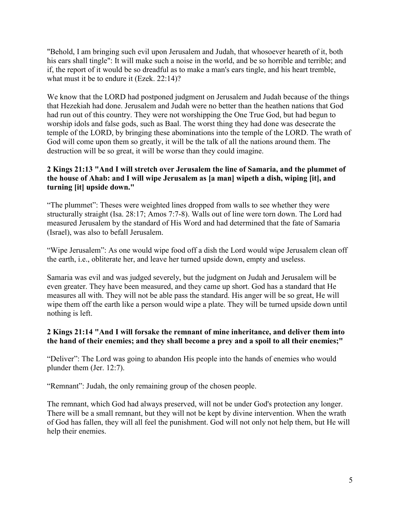"Behold, I am bringing such evil upon Jerusalem and Judah, that whosoever heareth of it, both his ears shall tingle": It will make such a noise in the world, and be so horrible and terrible; and if, the report of it would be so dreadful as to make a man's ears tingle, and his heart tremble, what must it be to endure it (Ezek. 22:14)?

We know that the LORD had postponed judgment on Jerusalem and Judah because of the things that Hezekiah had done. Jerusalem and Judah were no better than the heathen nations that God had run out of this country. They were not worshipping the One True God, but had begun to worship idols and false gods, such as Baal. The worst thing they had done was desecrate the temple of the LORD, by bringing these abominations into the temple of the LORD. The wrath of God will come upon them so greatly, it will be the talk of all the nations around them. The destruction will be so great, it will be worse than they could imagine.

#### **2 Kings 21:13 "And I will stretch over Jerusalem the line of Samaria, and the plummet of the house of Ahab: and I will wipe Jerusalem as [a man] wipeth a dish, wiping [it], and turning [it] upside down."**

"The plummet": Theses were weighted lines dropped from walls to see whether they were structurally straight (Isa. 28:17; Amos 7:7-8). Walls out of line were torn down. The Lord had measured Jerusalem by the standard of His Word and had determined that the fate of Samaria (Israel), was also to befall Jerusalem.

"Wipe Jerusalem": As one would wipe food off a dish the Lord would wipe Jerusalem clean off the earth, i.e., obliterate her, and leave her turned upside down, empty and useless.

Samaria was evil and was judged severely, but the judgment on Judah and Jerusalem will be even greater. They have been measured, and they came up short. God has a standard that He measures all with. They will not be able pass the standard. His anger will be so great, He will wipe them off the earth like a person would wipe a plate. They will be turned upside down until nothing is left.

### **2 Kings 21:14 "And I will forsake the remnant of mine inheritance, and deliver them into the hand of their enemies; and they shall become a prey and a spoil to all their enemies;"**

"Deliver": The Lord was going to abandon His people into the hands of enemies who would plunder them (Jer. 12:7).

"Remnant": Judah, the only remaining group of the chosen people.

The remnant, which God had always preserved, will not be under God's protection any longer. There will be a small remnant, but they will not be kept by divine intervention. When the wrath of God has fallen, they will all feel the punishment. God will not only not help them, but He will help their enemies.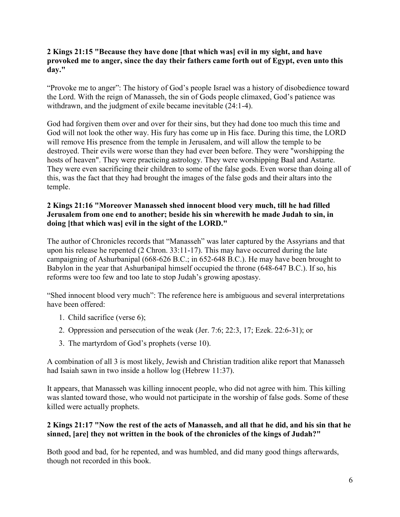#### **2 Kings 21:15 "Because they have done [that which was] evil in my sight, and have provoked me to anger, since the day their fathers came forth out of Egypt, even unto this day."**

"Provoke me to anger": The history of God's people Israel was a history of disobedience toward the Lord. With the reign of Manasseh, the sin of Gods people climaxed, God's patience was withdrawn, and the judgment of exile became inevitable (24:1-4).

God had forgiven them over and over for their sins, but they had done too much this time and God will not look the other way. His fury has come up in His face. During this time, the LORD will remove His presence from the temple in Jerusalem, and will allow the temple to be destroyed. Their evils were worse than they had ever been before. They were "worshipping the hosts of heaven". They were practicing astrology. They were worshipping Baal and Astarte. They were even sacrificing their children to some of the false gods. Even worse than doing all of this, was the fact that they had brought the images of the false gods and their altars into the temple.

#### **2 Kings 21:16 "Moreover Manasseh shed innocent blood very much, till he had filled Jerusalem from one end to another; beside his sin wherewith he made Judah to sin, in doing [that which was] evil in the sight of the LORD."**

The author of Chronicles records that "Manasseh" was later captured by the Assyrians and that upon his release he repented (2 Chron. 33:11-17). This may have occurred during the late campaigning of Ashurbanipal (668-626 B.C.; in 652-648 B.C.). He may have been brought to Babylon in the year that Ashurbanipal himself occupied the throne (648-647 B.C.). If so, his reforms were too few and too late to stop Judah's growing apostasy.

"Shed innocent blood very much": The reference here is ambiguous and several interpretations have been offered:

- 1. Child sacrifice (verse 6);
- 2. Oppression and persecution of the weak (Jer. 7:6; 22:3, 17; Ezek. 22:6-31); or
- 3. The martyrdom of God's prophets (verse 10).

A combination of all 3 is most likely, Jewish and Christian tradition alike report that Manasseh had Isaiah sawn in two inside a hollow log (Hebrew 11:37).

It appears, that Manasseh was killing innocent people, who did not agree with him. This killing was slanted toward those, who would not participate in the worship of false gods. Some of these killed were actually prophets.

### **2 Kings 21:17 "Now the rest of the acts of Manasseh, and all that he did, and his sin that he sinned, [are] they not written in the book of the chronicles of the kings of Judah?"**

Both good and bad, for he repented, and was humbled, and did many good things afterwards, though not recorded in this book.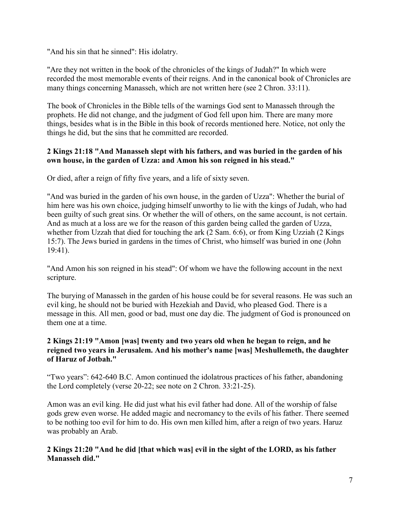"And his sin that he sinned": His idolatry.

"Are they not written in the book of the chronicles of the kings of Judah?" In which were recorded the most memorable events of their reigns. And in the canonical book of Chronicles are many things concerning Manasseh, which are not written here (see 2 Chron. 33:11).

The book of Chronicles in the Bible tells of the warnings God sent to Manasseh through the prophets. He did not change, and the judgment of God fell upon him. There are many more things, besides what is in the Bible in this book of records mentioned here. Notice, not only the things he did, but the sins that he committed are recorded.

## **2 Kings 21:18 "And Manasseh slept with his fathers, and was buried in the garden of his own house, in the garden of Uzza: and Amon his son reigned in his stead."**

Or died, after a reign of fifty five years, and a life of sixty seven.

"And was buried in the garden of his own house, in the garden of Uzza": Whether the burial of him here was his own choice, judging himself unworthy to lie with the kings of Judah, who had been guilty of such great sins. Or whether the will of others, on the same account, is not certain. And as much at a loss are we for the reason of this garden being called the garden of Uzza, whether from Uzzah that died for touching the ark (2 Sam. 6:6), or from King Uzziah (2 Kings 15:7). The Jews buried in gardens in the times of Christ, who himself was buried in one (John 19:41).

"And Amon his son reigned in his stead": Of whom we have the following account in the next scripture.

The burying of Manasseh in the garden of his house could be for several reasons. He was such an evil king, he should not be buried with Hezekiah and David, who pleased God. There is a message in this. All men, good or bad, must one day die. The judgment of God is pronounced on them one at a time.

## **2 Kings 21:19 "Amon [was] twenty and two years old when he began to reign, and he reigned two years in Jerusalem. And his mother's name [was] Meshullemeth, the daughter of Haruz of Jotbah."**

"Two years": 642-640 B.C. Amon continued the idolatrous practices of his father, abandoning the Lord completely (verse 20-22; see note on 2 Chron. 33:21-25).

Amon was an evil king. He did just what his evil father had done. All of the worship of false gods grew even worse. He added magic and necromancy to the evils of his father. There seemed to be nothing too evil for him to do. His own men killed him, after a reign of two years. Haruz was probably an Arab.

**2 Kings 21:20 "And he did [that which was] evil in the sight of the LORD, as his father Manasseh did."**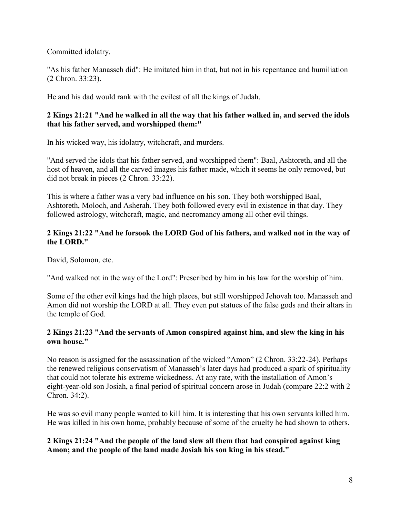Committed idolatry.

"As his father Manasseh did": He imitated him in that, but not in his repentance and humiliation (2 Chron. 33:23).

He and his dad would rank with the evilest of all the kings of Judah.

## **2 Kings 21:21 "And he walked in all the way that his father walked in, and served the idols that his father served, and worshipped them:"**

In his wicked way, his idolatry, witchcraft, and murders.

"And served the idols that his father served, and worshipped them": Baal, Ashtoreth, and all the host of heaven, and all the carved images his father made, which it seems he only removed, but did not break in pieces (2 Chron. 33:22).

This is where a father was a very bad influence on his son. They both worshipped Baal, Ashtoreth, Moloch, and Asherah. They both followed every evil in existence in that day. They followed astrology, witchcraft, magic, and necromancy among all other evil things.

## **2 Kings 21:22 "And he forsook the LORD God of his fathers, and walked not in the way of the LORD."**

David, Solomon, etc.

"And walked not in the way of the Lord": Prescribed by him in his law for the worship of him.

Some of the other evil kings had the high places, but still worshipped Jehovah too. Manasseh and Amon did not worship the LORD at all. They even put statues of the false gods and their altars in the temple of God.

## **2 Kings 21:23 "And the servants of Amon conspired against him, and slew the king in his own house."**

No reason is assigned for the assassination of the wicked "Amon" (2 Chron. 33:22-24). Perhaps the renewed religious conservatism of Manasseh's later days had produced a spark of spirituality that could not tolerate his extreme wickedness. At any rate, with the installation of Amon's eight-year-old son Josiah, a final period of spiritual concern arose in Judah (compare 22:2 with 2 Chron. 34:2).

He was so evil many people wanted to kill him. It is interesting that his own servants killed him. He was killed in his own home, probably because of some of the cruelty he had shown to others.

### **2 Kings 21:24 "And the people of the land slew all them that had conspired against king Amon; and the people of the land made Josiah his son king in his stead."**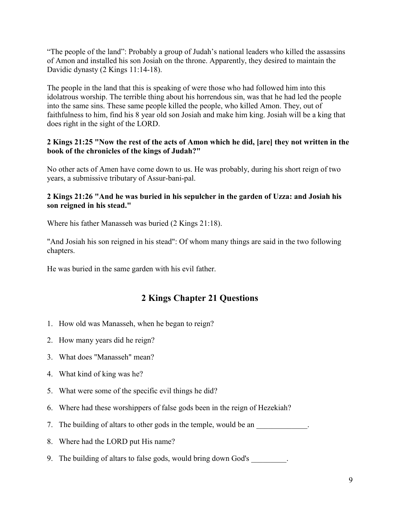"The people of the land": Probably a group of Judah's national leaders who killed the assassins of Amon and installed his son Josiah on the throne. Apparently, they desired to maintain the Davidic dynasty (2 Kings 11:14-18).

The people in the land that this is speaking of were those who had followed him into this idolatrous worship. The terrible thing about his horrendous sin, was that he had led the people into the same sins. These same people killed the people, who killed Amon. They, out of faithfulness to him, find his 8 year old son Josiah and make him king. Josiah will be a king that does right in the sight of the LORD.

### **2 Kings 21:25 "Now the rest of the acts of Amon which he did, [are] they not written in the book of the chronicles of the kings of Judah?"**

No other acts of Amen have come down to us. He was probably, during his short reign of two years, a submissive tributary of Assur-bani-pal.

## **2 Kings 21:26 "And he was buried in his sepulcher in the garden of Uzza: and Josiah his son reigned in his stead."**

Where his father Manasseh was buried (2 Kings 21:18).

"And Josiah his son reigned in his stead": Of whom many things are said in the two following chapters.

He was buried in the same garden with his evil father.

## **2 Kings Chapter 21 Questions**

- 1. How old was Manasseh, when he began to reign?
- 2. How many years did he reign?
- 3. What does "Manasseh" mean?
- 4. What kind of king was he?
- 5. What were some of the specific evil things he did?
- 6. Where had these worshippers of false gods been in the reign of Hezekiah?
- 7. The building of altars to other gods in the temple, would be an  $\blacksquare$
- 8. Where had the LORD put His name?
- 9. The building of altars to false gods, would bring down God's \_\_\_\_\_\_\_\_.